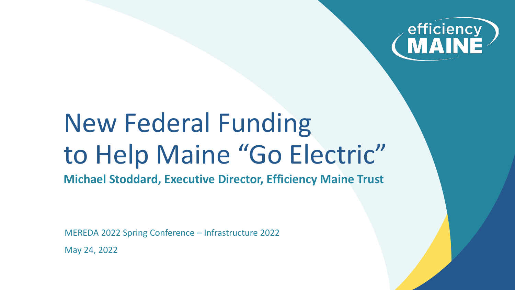

# New Federal Funding to Help Maine "Go Electric"

**Michael Stoddard, Executive Director, Efficiency Maine Trust**

MEREDA 2022 Spring Conference – Infrastructure 2022 May 24, 2022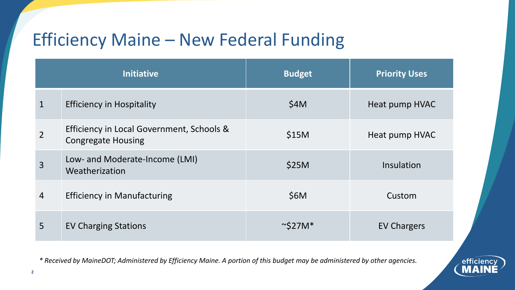### Efficiency Maine – New Federal Funding

| <b>Initiative</b> |                                                                        | <b>Budget</b> | <b>Priority Uses</b> |
|-------------------|------------------------------------------------------------------------|---------------|----------------------|
| $\mathbf{1}$      | <b>Efficiency in Hospitality</b>                                       | \$4M          | Heat pump HVAC       |
| $\overline{2}$    | Efficiency in Local Government, Schools &<br><b>Congregate Housing</b> | \$15M         | Heat pump HVAC       |
| $\overline{3}$    | Low- and Moderate-Income (LMI)<br>Weatherization                       | \$25M         | Insulation           |
| $\overline{4}$    | <b>Efficiency in Manufacturing</b>                                     | \$6M          | Custom               |
| 5                 | <b>EV Charging Stations</b>                                            | $\sim$ S27M*  | <b>EV Chargers</b>   |

*\* Received by MaineDOT; Administered by Efficiency Maine. A portion of this budget may be administered by other agencies.*

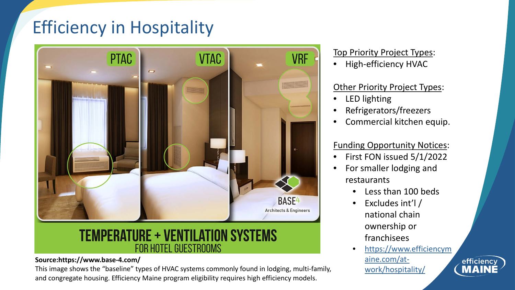### Efficiency in Hospitality



#### **TEMPERATURE + VENTILATION SYSTEMS FOR HOTEL GUESTROOMS**

#### **Source:https://www.base-4.com/**

This image shows the "baseline" types of HVAC systems commonly found in lodging, multi-family, and congregate housing. Efficiency Maine program eligibility requires high efficiency models.

#### Top Priority Project Types:

• High-efficiency HVAC

#### Other Priority Project Types:

- LED lighting
- Refrigerators/freezers
- Commercial kitchen equip.

#### Funding Opportunity Notices:

- First FON issued 5/1/2022
- For smaller lodging and restaurants
	- Less than 100 beds
	- Excludes int'l / national chain ownership or franchisees
	- [https://www.efficiencym](https://www.efficiencymaine.com/at-work/hospitality/) aine.com/atwork/hospitality/

efficiency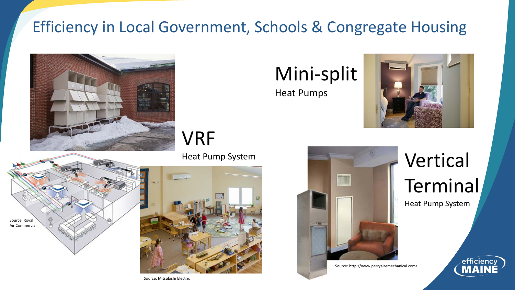### Efficiency in Local Government, Schools & Congregate Housing



## Mini-split

Heat Pumps



efficiency

VRF

Heat Pump System





Source: Mitsubishi Electric



Source: http://www.perryairemechanical.com/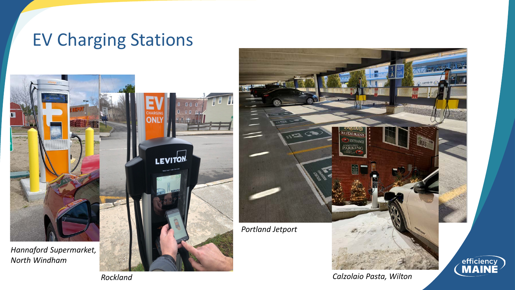### EV Charging Stations





*Calzolaio Pasta, Wilton*